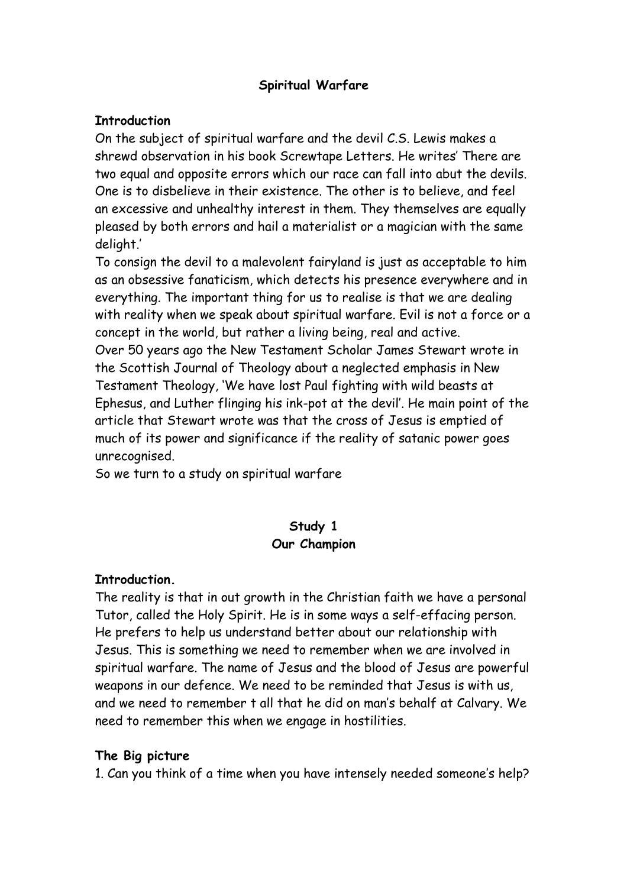### **Spiritual Warfare**

#### **Introduction**

On the subject of spiritual warfare and the devil C.S. Lewis makes a shrewd observation in his book Screwtape Letters. He writes' There are two equal and opposite errors which our race can fall into abut the devils. One is to disbelieve in their existence. The other is to believe, and feel an excessive and unhealthy interest in them. They themselves are equally pleased by both errors and hail a materialist or a magician with the same delight.'

To consign the devil to a malevolent fairyland is just as acceptable to him as an obsessive fanaticism, which detects his presence everywhere and in everything. The important thing for us to realise is that we are dealing with reality when we speak about spiritual warfare. Evil is not a force or a concept in the world, but rather a living being, real and active. Over 50 years ago the New Testament Scholar James Stewart wrote in the Scottish Journal of Theology about a neglected emphasis in New Testament Theology, 'We have lost Paul fighting with wild beasts at Ephesus, and Luther flinging his ink-pot at the devil'. He main point of the article that Stewart wrote was that the cross of Jesus is emptied of much of its power and significance if the reality of satanic power goes unrecognised.

So we turn to a study on spiritual warfare

# **Study 1 Our Champion**

#### **Introduction.**

The reality is that in out growth in the Christian faith we have a personal Tutor, called the Holy Spirit. He is in some ways a self-effacing person. He prefers to help us understand better about our relationship with Jesus. This is something we need to remember when we are involved in spiritual warfare. The name of Jesus and the blood of Jesus are powerful weapons in our defence. We need to be reminded that Jesus is with us, and we need to remember t all that he did on man's behalf at Calvary. We need to remember this when we engage in hostilities.

# **The Big picture**

1. Can you think of a time when you have intensely needed someone's help?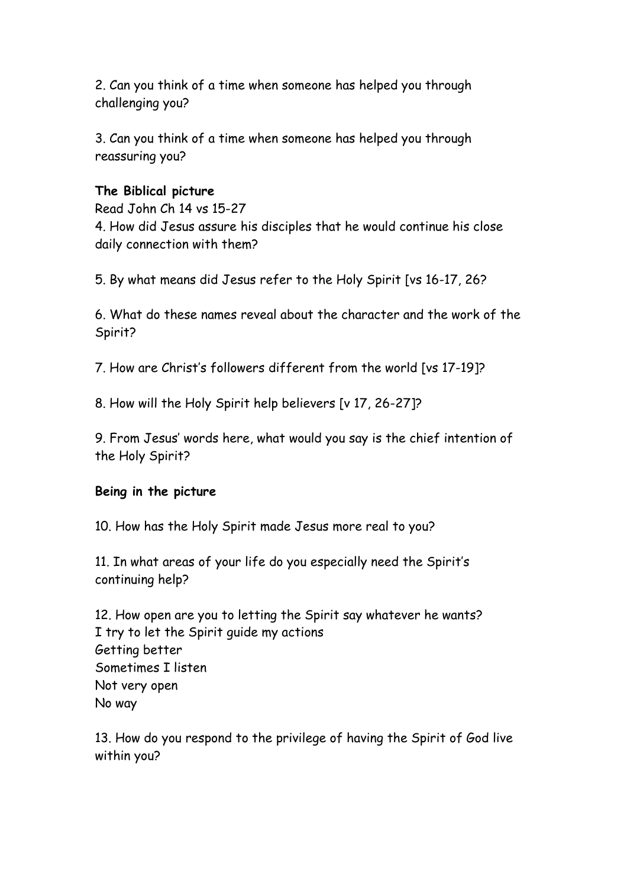2. Can you think of a time when someone has helped you through challenging you?

3. Can you think of a time when someone has helped you through reassuring you?

### **The Biblical picture**

Read John Ch 14 vs 15-27

4. How did Jesus assure his disciples that he would continue his close daily connection with them?

5. By what means did Jesus refer to the Holy Spirit [vs 16-17, 26?

6. What do these names reveal about the character and the work of the Spirit?

7. How are Christ's followers different from the world [vs 17-19]?

8. How will the Holy Spirit help believers [v 17, 26-27]?

9. From Jesus' words here, what would you say is the chief intention of the Holy Spirit?

# **Being in the picture**

10. How has the Holy Spirit made Jesus more real to you?

11. In what areas of your life do you especially need the Spirit's continuing help?

12. How open are you to letting the Spirit say whatever he wants? I try to let the Spirit guide my actions Getting better Sometimes I listen Not very open No way

13. How do you respond to the privilege of having the Spirit of God live within you?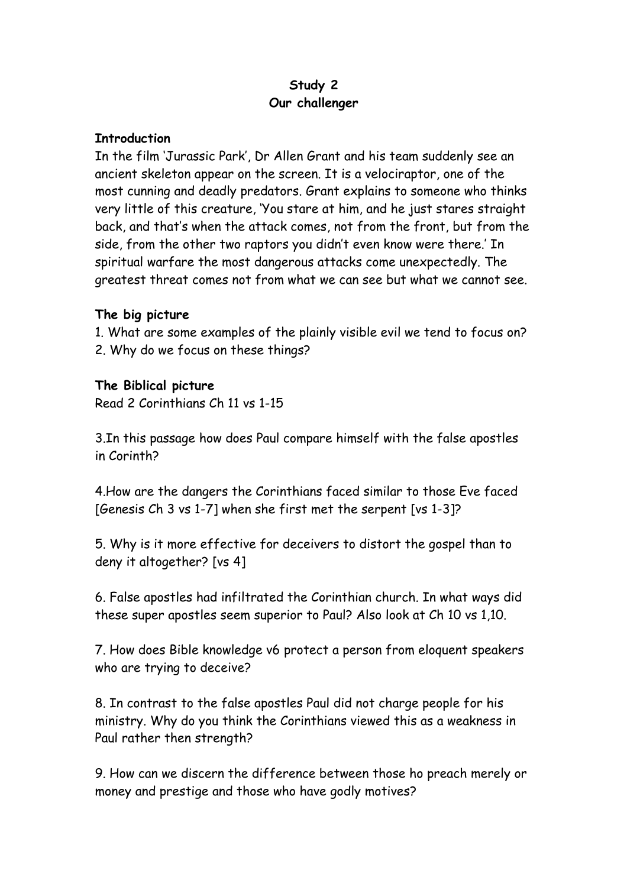# **Study 2 Our challenger**

#### **Introduction**

In the film 'Jurassic Park', Dr Allen Grant and his team suddenly see an ancient skeleton appear on the screen. It is a velociraptor, one of the most cunning and deadly predators. Grant explains to someone who thinks very little of this creature, 'You stare at him, and he just stares straight back, and that's when the attack comes, not from the front, but from the side, from the other two raptors you didn't even know were there.' In spiritual warfare the most dangerous attacks come unexpectedly. The greatest threat comes not from what we can see but what we cannot see.

#### **The big picture**

1. What are some examples of the plainly visible evil we tend to focus on? 2. Why do we focus on these things?

#### **The Biblical picture**

Read 2 Corinthians Ch 11 vs 1-15

3.In this passage how does Paul compare himself with the false apostles in Corinth?

4.How are the dangers the Corinthians faced similar to those Eve faced [Genesis Ch 3 vs 1-7] when she first met the serpent [vs 1-3]?

5. Why is it more effective for deceivers to distort the gospel than to deny it altogether? [vs 4]

6. False apostles had infiltrated the Corinthian church. In what ways did these super apostles seem superior to Paul? Also look at Ch 10 vs 1,10.

7. How does Bible knowledge v6 protect a person from eloquent speakers who are trying to deceive?

8. In contrast to the false apostles Paul did not charge people for his ministry. Why do you think the Corinthians viewed this as a weakness in Paul rather then strength?

9. How can we discern the difference between those ho preach merely or money and prestige and those who have godly motives?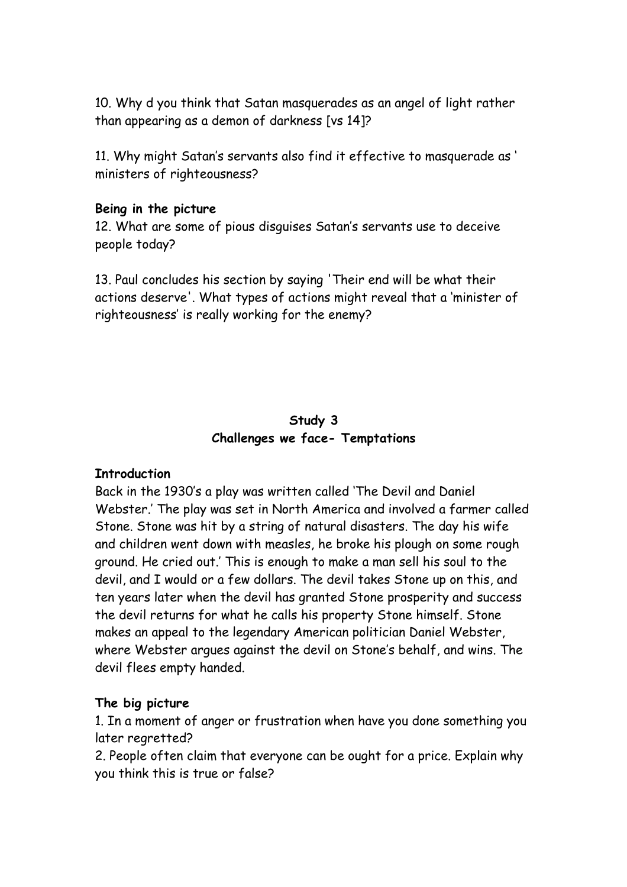10. Why d you think that Satan masquerades as an angel of light rather than appearing as a demon of darkness [vs 14]?

11. Why might Satan's servants also find it effective to masquerade as ' ministers of righteousness?

#### **Being in the picture**

12. What are some of pious disguises Satan's servants use to deceive people today?

13. Paul concludes his section by saying 'Their end will be what their actions deserve'. What types of actions might reveal that a 'minister of righteousness' is really working for the enemy?

# **Study 3 Challenges we face- Temptations**

#### **Introduction**

Back in the 1930's a play was written called 'The Devil and Daniel Webster.' The play was set in North America and involved a farmer called Stone. Stone was hit by a string of natural disasters. The day his wife and children went down with measles, he broke his plough on some rough ground. He cried out.' This is enough to make a man sell his soul to the devil, and I would or a few dollars. The devil takes Stone up on this, and ten years later when the devil has granted Stone prosperity and success the devil returns for what he calls his property Stone himself. Stone makes an appeal to the legendary American politician Daniel Webster, where Webster argues against the devil on Stone's behalf, and wins. The devil flees empty handed.

#### **The big picture**

1. In a moment of anger or frustration when have you done something you later regretted?

2. People often claim that everyone can be ought for a price. Explain why you think this is true or false?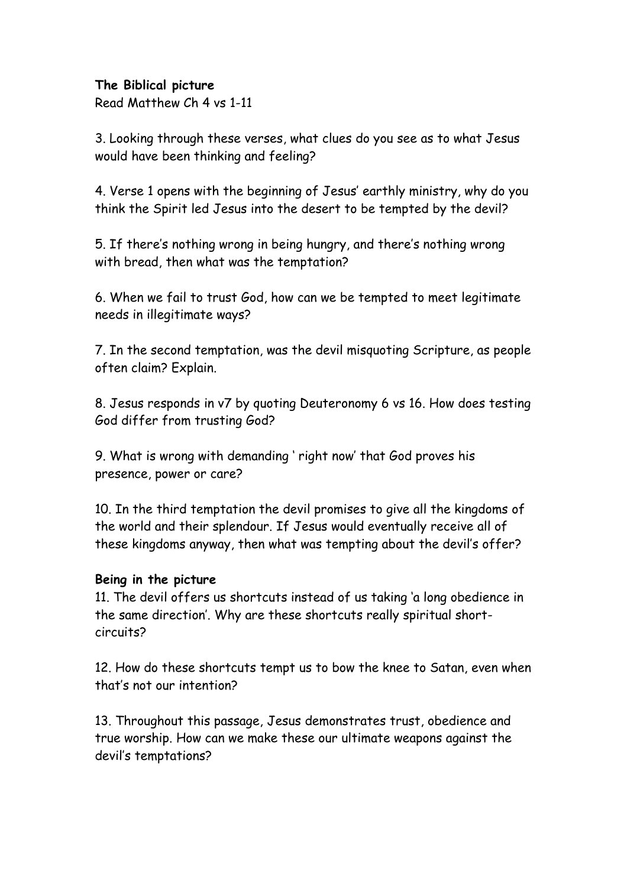#### **The Biblical picture**

Read Matthew Ch 4 vs 1-11

3. Looking through these verses, what clues do you see as to what Jesus would have been thinking and feeling?

4. Verse 1 opens with the beginning of Jesus' earthly ministry, why do you think the Spirit led Jesus into the desert to be tempted by the devil?

5. If there's nothing wrong in being hungry, and there's nothing wrong with bread, then what was the temptation?

6. When we fail to trust God, how can we be tempted to meet legitimate needs in illegitimate ways?

7. In the second temptation, was the devil misquoting Scripture, as people often claim? Explain.

8. Jesus responds in v7 by quoting Deuteronomy 6 vs 16. How does testing God differ from trusting God?

9. What is wrong with demanding ' right now' that God proves his presence, power or care?

10. In the third temptation the devil promises to give all the kingdoms of the world and their splendour. If Jesus would eventually receive all of these kingdoms anyway, then what was tempting about the devil's offer?

# **Being in the picture**

11. The devil offers us shortcuts instead of us taking 'a long obedience in the same direction'. Why are these shortcuts really spiritual shortcircuits?

12. How do these shortcuts tempt us to bow the knee to Satan, even when that's not our intention?

13. Throughout this passage, Jesus demonstrates trust, obedience and true worship. How can we make these our ultimate weapons against the devil's temptations?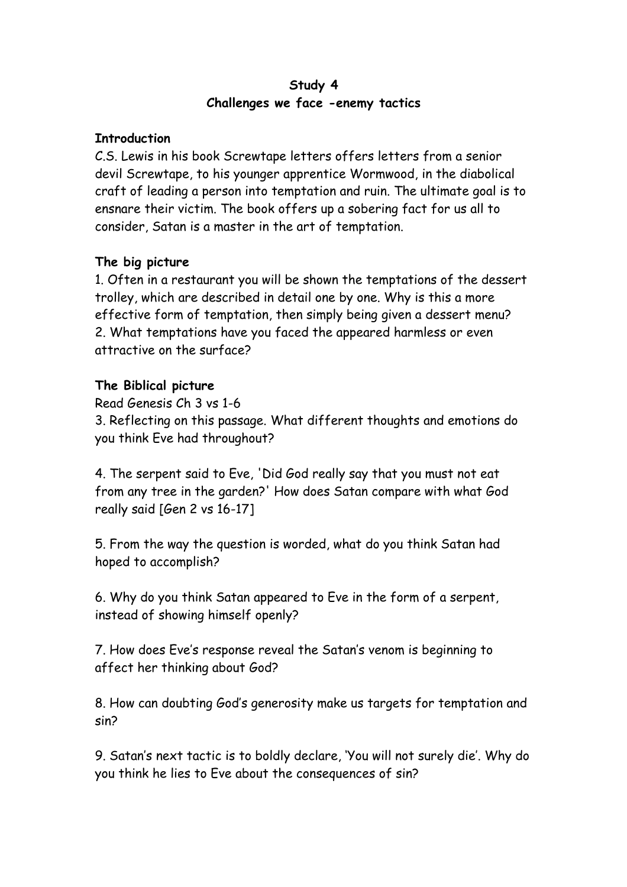#### **Study 4 Challenges we face -enemy tactics**

#### **Introduction**

C.S. Lewis in his book Screwtape letters offers letters from a senior devil Screwtape, to his younger apprentice Wormwood, in the diabolical craft of leading a person into temptation and ruin. The ultimate goal is to ensnare their victim. The book offers up a sobering fact for us all to consider, Satan is a master in the art of temptation.

# **The big picture**

1. Often in a restaurant you will be shown the temptations of the dessert trolley, which are described in detail one by one. Why is this a more effective form of temptation, then simply being given a dessert menu? 2. What temptations have you faced the appeared harmless or even attractive on the surface?

# **The Biblical picture**

Read Genesis Ch 3 vs 1-6

3. Reflecting on this passage. What different thoughts and emotions do you think Eve had throughout?

4. The serpent said to Eve, 'Did God really say that you must not eat from any tree in the garden?' How does Satan compare with what God really said [Gen 2 vs 16-17]

5. From the way the question is worded, what do you think Satan had hoped to accomplish?

6. Why do you think Satan appeared to Eve in the form of a serpent, instead of showing himself openly?

7. How does Eve's response reveal the Satan's venom is beginning to affect her thinking about God?

8. How can doubting God's generosity make us targets for temptation and sin?

9. Satan's next tactic is to boldly declare, 'You will not surely die'. Why do you think he lies to Eve about the consequences of sin?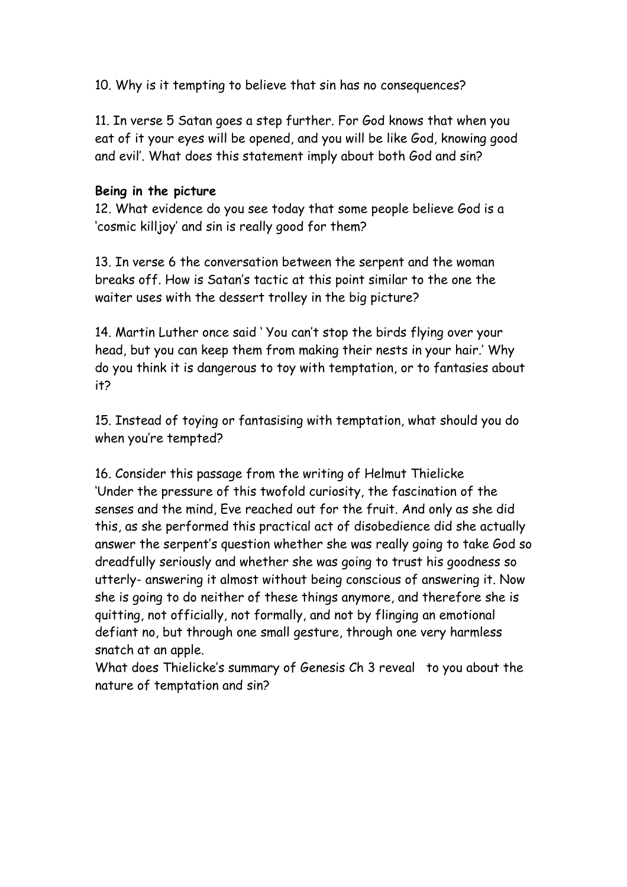10. Why is it tempting to believe that sin has no consequences?

11. In verse 5 Satan goes a step further. For God knows that when you eat of it your eyes will be opened, and you will be like God, knowing good and evil'. What does this statement imply about both God and sin?

#### **Being in the picture**

12. What evidence do you see today that some people believe God is a 'cosmic killjoy' and sin is really good for them?

13. In verse 6 the conversation between the serpent and the woman breaks off. How is Satan's tactic at this point similar to the one the waiter uses with the dessert trolley in the big picture?

14. Martin Luther once said ' You can't stop the birds flying over your head, but you can keep them from making their nests in your hair.' Why do you think it is dangerous to toy with temptation, or to fantasies about it?

15. Instead of toying or fantasising with temptation, what should you do when you're tempted?

16. Consider this passage from the writing of Helmut Thielicke 'Under the pressure of this twofold curiosity, the fascination of the senses and the mind, Eve reached out for the fruit. And only as she did this, as she performed this practical act of disobedience did she actually answer the serpent's question whether she was really going to take God so dreadfully seriously and whether she was going to trust his goodness so utterly- answering it almost without being conscious of answering it. Now she is going to do neither of these things anymore, and therefore she is quitting, not officially, not formally, and not by flinging an emotional defiant no, but through one small gesture, through one very harmless snatch at an apple.

What does Thielicke's summary of Genesis Ch 3 reveal to you about the nature of temptation and sin?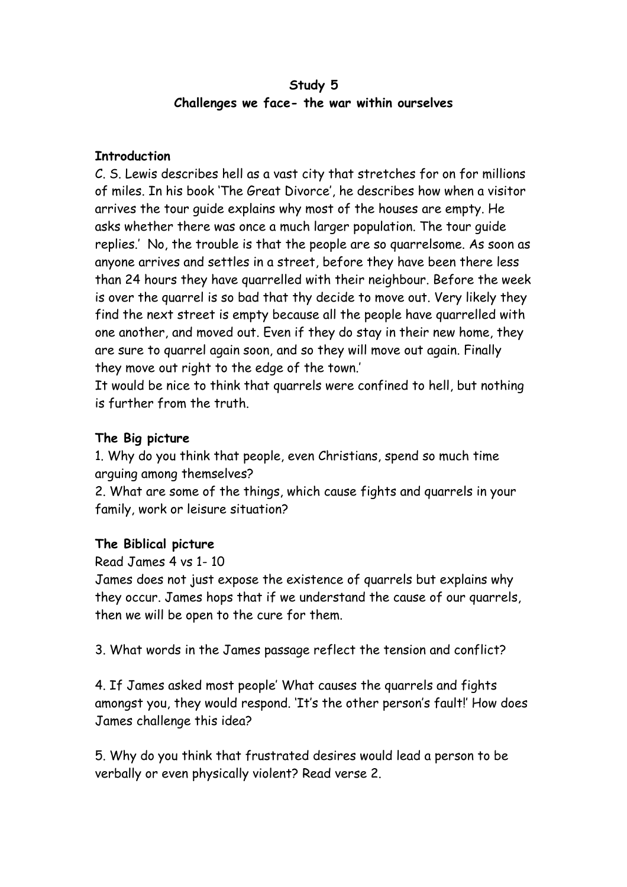# **Study 5 Challenges we face- the war within ourselves**

#### **Introduction**

C. S. Lewis describes hell as a vast city that stretches for on for millions of miles. In his book 'The Great Divorce', he describes how when a visitor arrives the tour guide explains why most of the houses are empty. He asks whether there was once a much larger population. The tour guide replies.' No, the trouble is that the people are so quarrelsome. As soon as anyone arrives and settles in a street, before they have been there less than 24 hours they have quarrelled with their neighbour. Before the week is over the quarrel is so bad that thy decide to move out. Very likely they find the next street is empty because all the people have quarrelled with one another, and moved out. Even if they do stay in their new home, they are sure to quarrel again soon, and so they will move out again. Finally they move out right to the edge of the town.'

It would be nice to think that quarrels were confined to hell, but nothing is further from the truth.

# **The Big picture**

1. Why do you think that people, even Christians, spend so much time arguing among themselves?

2. What are some of the things, which cause fights and quarrels in your family, work or leisure situation?

# **The Biblical picture**

Read James 4 vs 1- 10

James does not just expose the existence of quarrels but explains why they occur. James hops that if we understand the cause of our quarrels, then we will be open to the cure for them.

3. What words in the James passage reflect the tension and conflict?

4. If James asked most people' What causes the quarrels and fights amongst you, they would respond. 'It's the other person's fault!' How does James challenge this idea?

5. Why do you think that frustrated desires would lead a person to be verbally or even physically violent? Read verse 2.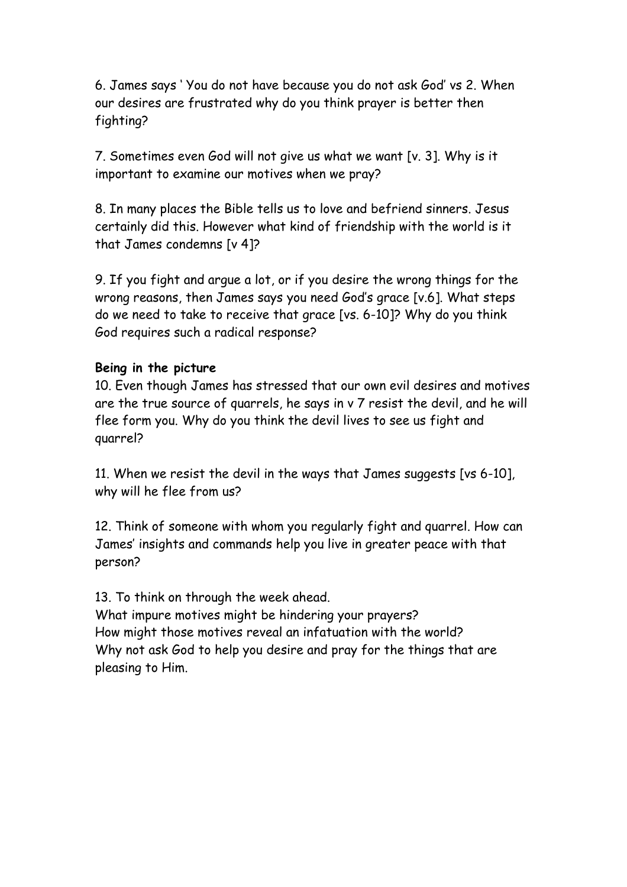6. James says ' You do not have because you do not ask God' vs 2. When our desires are frustrated why do you think prayer is better then fighting?

7. Sometimes even God will not give us what we want [v. 3]. Why is it important to examine our motives when we pray?

8. In many places the Bible tells us to love and befriend sinners. Jesus certainly did this. However what kind of friendship with the world is it that James condemns [v 4]?

9. If you fight and argue a lot, or if you desire the wrong things for the wrong reasons, then James says you need God's grace [v.6]. What steps do we need to take to receive that grace [vs. 6-10]? Why do you think God requires such a radical response?

#### **Being in the picture**

10. Even though James has stressed that our own evil desires and motives are the true source of quarrels, he says in v 7 resist the devil, and he will flee form you. Why do you think the devil lives to see us fight and quarrel?

11. When we resist the devil in the ways that James suggests [vs 6-10], why will he flee from us?

12. Think of someone with whom you regularly fight and quarrel. How can James' insights and commands help you live in greater peace with that person?

13. To think on through the week ahead. What impure motives might be hindering your prayers? How might those motives reveal an infatuation with the world? Why not ask God to help you desire and pray for the things that are pleasing to Him.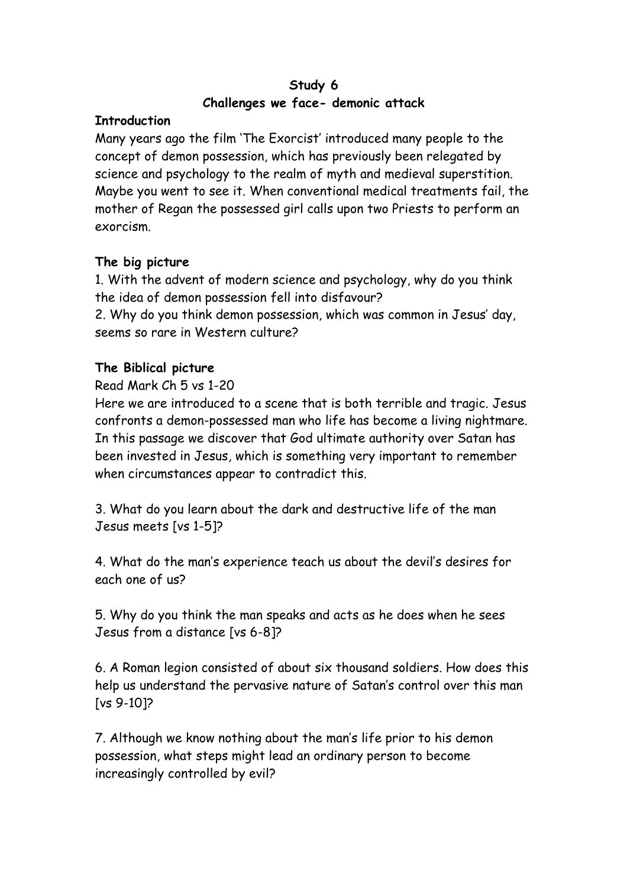# **Study 6 Challenges we face- demonic attack**

# **Introduction**

Many years ago the film 'The Exorcist' introduced many people to the concept of demon possession, which has previously been relegated by science and psychology to the realm of myth and medieval superstition. Maybe you went to see it. When conventional medical treatments fail, the mother of Regan the possessed girl calls upon two Priests to perform an exorcism.

# **The big picture**

1. With the advent of modern science and psychology, why do you think the idea of demon possession fell into disfavour? 2. Why do you think demon possession, which was common in Jesus' day,

seems so rare in Western culture?

# **The Biblical picture**

#### Read Mark Ch 5 vs 1-20

Here we are introduced to a scene that is both terrible and tragic. Jesus confronts a demon-possessed man who life has become a living nightmare. In this passage we discover that God ultimate authority over Satan has been invested in Jesus, which is something very important to remember when circumstances appear to contradict this.

3. What do you learn about the dark and destructive life of the man Jesus meets [vs 1-5]?

4. What do the man's experience teach us about the devil's desires for each one of us?

5. Why do you think the man speaks and acts as he does when he sees Jesus from a distance [vs 6-8]?

6. A Roman legion consisted of about six thousand soldiers. How does this help us understand the pervasive nature of Satan's control over this man [vs 9-10]?

7. Although we know nothing about the man's life prior to his demon possession, what steps might lead an ordinary person to become increasingly controlled by evil?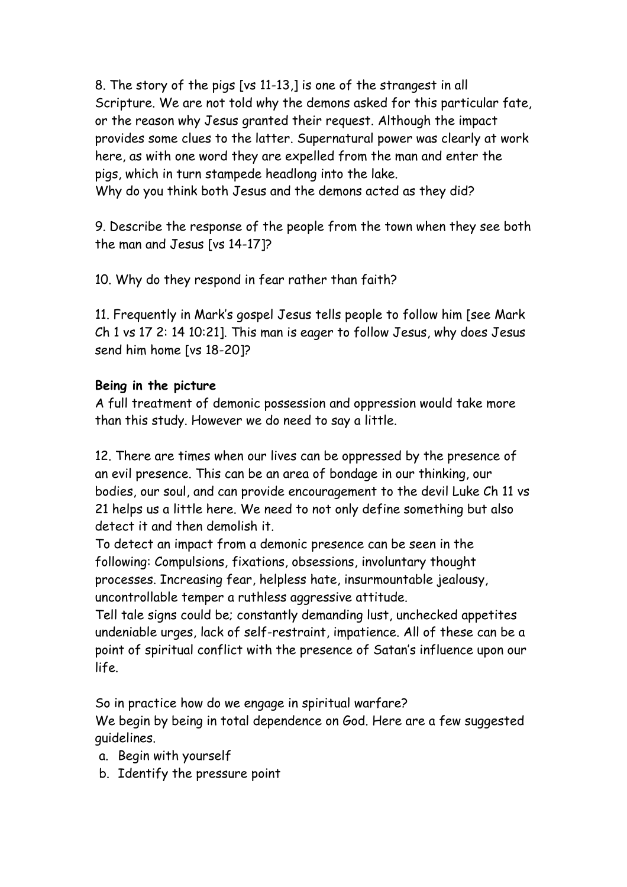8. The story of the pigs [vs 11-13,] is one of the strangest in all Scripture. We are not told why the demons asked for this particular fate, or the reason why Jesus granted their request. Although the impact provides some clues to the latter. Supernatural power was clearly at work here, as with one word they are expelled from the man and enter the pigs, which in turn stampede headlong into the lake. Why do you think both Jesus and the demons acted as they did?

9. Describe the response of the people from the town when they see both the man and Jesus [vs 14-17]?

10. Why do they respond in fear rather than faith?

11. Frequently in Mark's gospel Jesus tells people to follow him [see Mark Ch 1 vs 17 2: 14 10:21]. This man is eager to follow Jesus, why does Jesus send him home [vs 18-20]?

# **Being in the picture**

A full treatment of demonic possession and oppression would take more than this study. However we do need to say a little.

12. There are times when our lives can be oppressed by the presence of an evil presence. This can be an area of bondage in our thinking, our bodies, our soul, and can provide encouragement to the devil Luke Ch 11 vs 21 helps us a little here. We need to not only define something but also detect it and then demolish it.

To detect an impact from a demonic presence can be seen in the following: Compulsions, fixations, obsessions, involuntary thought processes. Increasing fear, helpless hate, insurmountable jealousy, uncontrollable temper a ruthless aggressive attitude.

Tell tale signs could be; constantly demanding lust, unchecked appetites undeniable urges, lack of self-restraint, impatience. All of these can be a point of spiritual conflict with the presence of Satan's influence upon our life.

So in practice how do we engage in spiritual warfare? We begin by being in total dependence on God. Here are a few suggested guidelines.

- a. Begin with yourself
- b. Identify the pressure point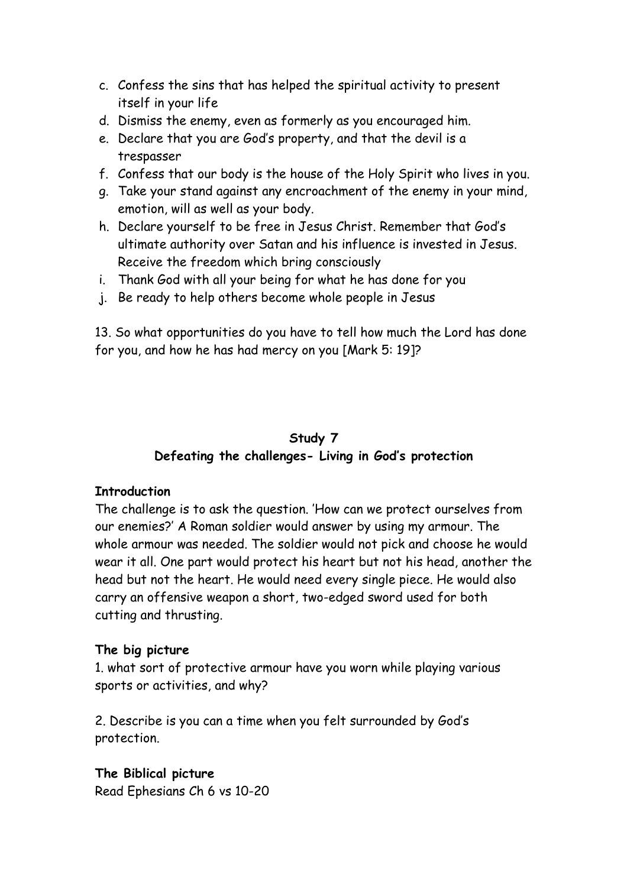- c. Confess the sins that has helped the spiritual activity to present itself in your life
- d. Dismiss the enemy, even as formerly as you encouraged him.
- e. Declare that you are God's property, and that the devil is a trespasser
- f. Confess that our body is the house of the Holy Spirit who lives in you.
- g. Take your stand against any encroachment of the enemy in your mind, emotion, will as well as your body.
- h. Declare yourself to be free in Jesus Christ. Remember that God's ultimate authority over Satan and his influence is invested in Jesus. Receive the freedom which bring consciously
- i. Thank God with all your being for what he has done for you
- j. Be ready to help others become whole people in Jesus

13. So what opportunities do you have to tell how much the Lord has done for you, and how he has had mercy on you [Mark 5: 19]?

# **Study 7 Defeating the challenges- Living in God's protection**

# **Introduction**

The challenge is to ask the question. 'How can we protect ourselves from our enemies?' A Roman soldier would answer by using my armour. The whole armour was needed. The soldier would not pick and choose he would wear it all. One part would protect his heart but not his head, another the head but not the heart. He would need every single piece. He would also carry an offensive weapon a short, two-edged sword used for both cutting and thrusting.

# **The big picture**

1. what sort of protective armour have you worn while playing various sports or activities, and why?

2. Describe is you can a time when you felt surrounded by God's protection.

#### **The Biblical picture** Read Ephesians Ch 6 vs 10-20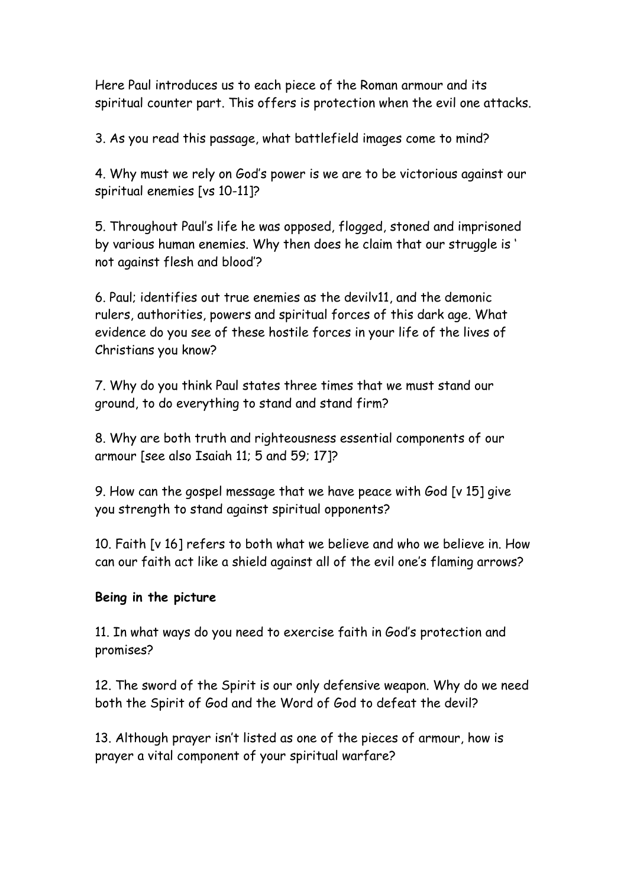Here Paul introduces us to each piece of the Roman armour and its spiritual counter part. This offers is protection when the evil one attacks.

3. As you read this passage, what battlefield images come to mind?

4. Why must we rely on God's power is we are to be victorious against our spiritual enemies [vs 10-11]?

5. Throughout Paul's life he was opposed, flogged, stoned and imprisoned by various human enemies. Why then does he claim that our struggle is ' not against flesh and blood'?

6. Paul; identifies out true enemies as the devilv11, and the demonic rulers, authorities, powers and spiritual forces of this dark age. What evidence do you see of these hostile forces in your life of the lives of Christians you know?

7. Why do you think Paul states three times that we must stand our ground, to do everything to stand and stand firm?

8. Why are both truth and righteousness essential components of our armour [see also Isaiah 11; 5 and 59; 17]?

9. How can the gospel message that we have peace with God [v 15] give you strength to stand against spiritual opponents?

10. Faith [v 16] refers to both what we believe and who we believe in. How can our faith act like a shield against all of the evil one's flaming arrows?

#### **Being in the picture**

11. In what ways do you need to exercise faith in God's protection and promises?

12. The sword of the Spirit is our only defensive weapon. Why do we need both the Spirit of God and the Word of God to defeat the devil?

13. Although prayer isn't listed as one of the pieces of armour, how is prayer a vital component of your spiritual warfare?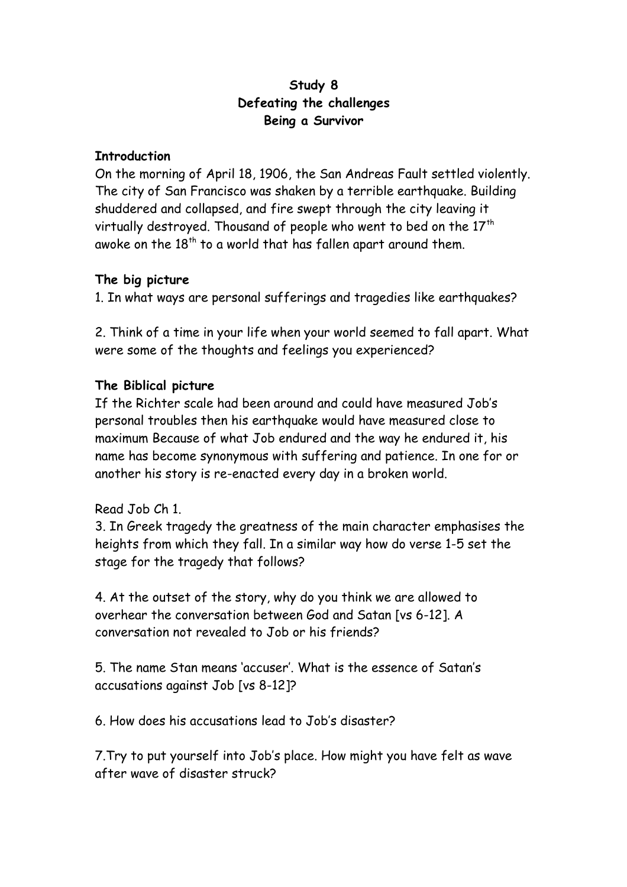# **Study 8 Defeating the challenges Being a Survivor**

#### **Introduction**

On the morning of April 18, 1906, the San Andreas Fault settled violently. The city of San Francisco was shaken by a terrible earthquake. Building shuddered and collapsed, and fire swept through the city leaving it virtually destroyed. Thousand of people who went to bed on the  $17<sup>th</sup>$ awoke on the  $18<sup>th</sup>$  to a world that has fallen apart around them.

#### **The big picture**

1. In what ways are personal sufferings and tragedies like earthquakes?

2. Think of a time in your life when your world seemed to fall apart. What were some of the thoughts and feelings you experienced?

# **The Biblical picture**

If the Richter scale had been around and could have measured Job's personal troubles then his earthquake would have measured close to maximum Because of what Job endured and the way he endured it, his name has become synonymous with suffering and patience. In one for or another his story is re-enacted every day in a broken world.

# Read Job Ch 1.

3. In Greek tragedy the greatness of the main character emphasises the heights from which they fall. In a similar way how do verse 1-5 set the stage for the tragedy that follows?

4. At the outset of the story, why do you think we are allowed to overhear the conversation between God and Satan [vs 6-12]. A conversation not revealed to Job or his friends?

5. The name Stan means 'accuser'. What is the essence of Satan's accusations against Job [vs 8-12]?

6. How does his accusations lead to Job's disaster?

7.Try to put yourself into Job's place. How might you have felt as wave after wave of disaster struck?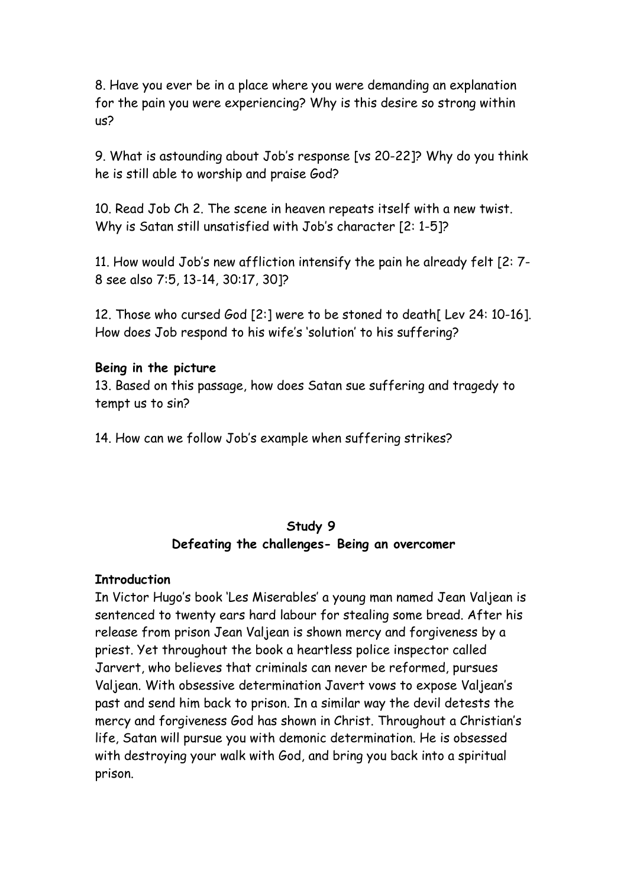8. Have you ever be in a place where you were demanding an explanation for the pain you were experiencing? Why is this desire so strong within us?

9. What is astounding about Job's response [vs 20-22]? Why do you think he is still able to worship and praise God?

10. Read Job Ch 2. The scene in heaven repeats itself with a new twist. Why is Satan still unsatisfied with Job's character [2: 1-5]?

11. How would Job's new affliction intensify the pain he already felt [2: 7- 8 see also 7:5, 13-14, 30:17, 30]?

12. Those who cursed God [2:] were to be stoned to death[ Lev 24: 10-16]. How does Job respond to his wife's 'solution' to his suffering?

#### **Being in the picture**

13. Based on this passage, how does Satan sue suffering and tragedy to tempt us to sin?

14. How can we follow Job's example when suffering strikes?

# **Study 9 Defeating the challenges- Being an overcomer**

#### **Introduction**

In Victor Hugo's book 'Les Miserables' a young man named Jean Valjean is sentenced to twenty ears hard labour for stealing some bread. After his release from prison Jean Valjean is shown mercy and forgiveness by a priest. Yet throughout the book a heartless police inspector called Jarvert, who believes that criminals can never be reformed, pursues Valjean. With obsessive determination Javert vows to expose Valjean's past and send him back to prison. In a similar way the devil detests the mercy and forgiveness God has shown in Christ. Throughout a Christian's life, Satan will pursue you with demonic determination. He is obsessed with destroying your walk with God, and bring you back into a spiritual prison.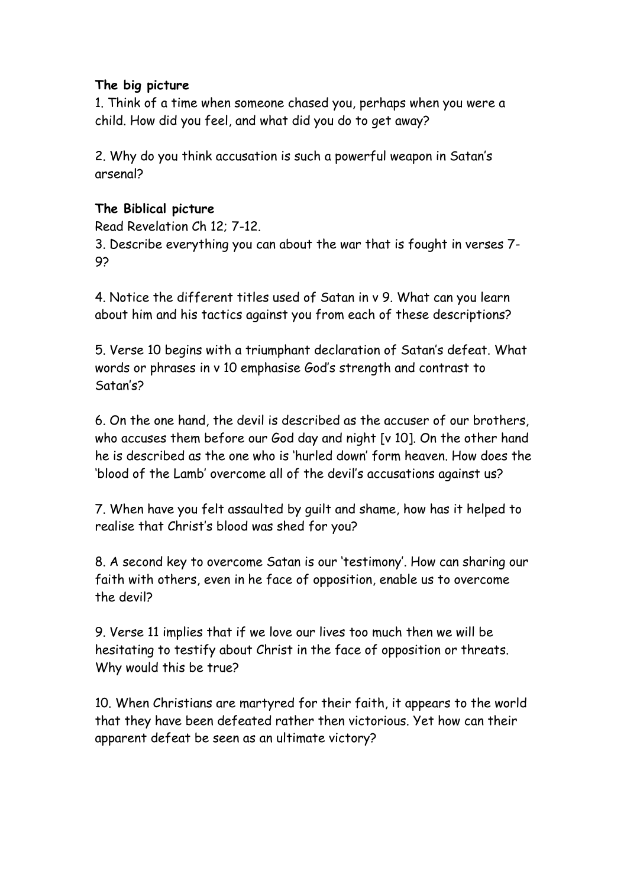# **The big picture**

1. Think of a time when someone chased you, perhaps when you were a child. How did you feel, and what did you do to get away?

2. Why do you think accusation is such a powerful weapon in Satan's arsenal?

# **The Biblical picture**

Read Revelation Ch 12; 7-12.

3. Describe everything you can about the war that is fought in verses 7- 9?

4. Notice the different titles used of Satan in v 9. What can you learn about him and his tactics against you from each of these descriptions?

5. Verse 10 begins with a triumphant declaration of Satan's defeat. What words or phrases in v 10 emphasise God's strength and contrast to Satan's?

6. On the one hand, the devil is described as the accuser of our brothers, who accuses them before our God day and night [v 10]. On the other hand he is described as the one who is 'hurled down' form heaven. How does the 'blood of the Lamb' overcome all of the devil's accusations against us?

7. When have you felt assaulted by guilt and shame, how has it helped to realise that Christ's blood was shed for you?

8. A second key to overcome Satan is our 'testimony'. How can sharing our faith with others, even in he face of opposition, enable us to overcome the devil?

9. Verse 11 implies that if we love our lives too much then we will be hesitating to testify about Christ in the face of opposition or threats. Why would this be true?

10. When Christians are martyred for their faith, it appears to the world that they have been defeated rather then victorious. Yet how can their apparent defeat be seen as an ultimate victory?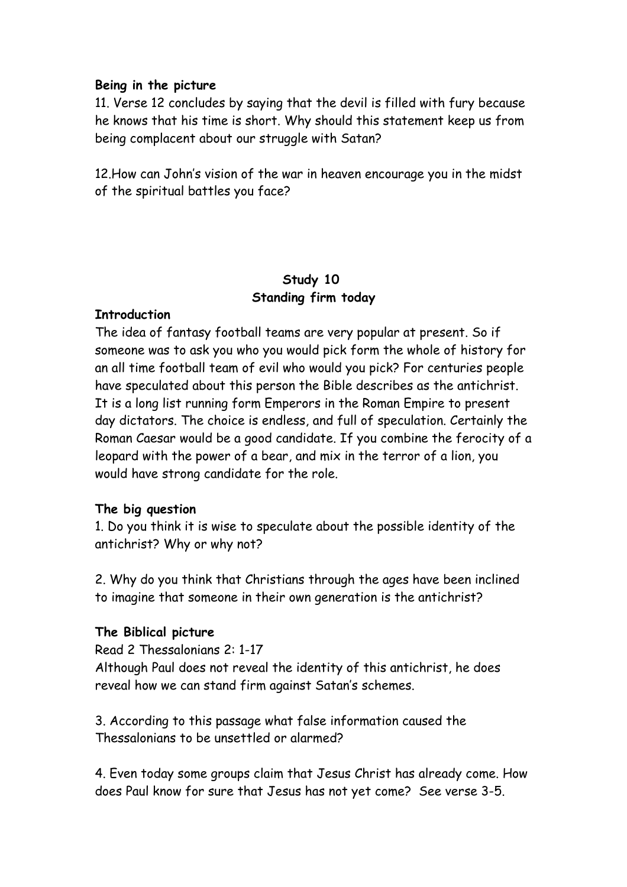#### **Being in the picture**

11. Verse 12 concludes by saying that the devil is filled with fury because he knows that his time is short. Why should this statement keep us from being complacent about our struggle with Satan?

12.How can John's vision of the war in heaven encourage you in the midst of the spiritual battles you face?

# **Study 10 Standing firm today**

#### **Introduction**

The idea of fantasy football teams are very popular at present. So if someone was to ask you who you would pick form the whole of history for an all time football team of evil who would you pick? For centuries people have speculated about this person the Bible describes as the antichrist. It is a long list running form Emperors in the Roman Empire to present day dictators. The choice is endless, and full of speculation. Certainly the Roman Caesar would be a good candidate. If you combine the ferocity of a leopard with the power of a bear, and mix in the terror of a lion, you would have strong candidate for the role.

#### **The big question**

1. Do you think it is wise to speculate about the possible identity of the antichrist? Why or why not?

2. Why do you think that Christians through the ages have been inclined to imagine that someone in their own generation is the antichrist?

#### **The Biblical picture**

Read 2 Thessalonians 2: 1-17

Although Paul does not reveal the identity of this antichrist, he does reveal how we can stand firm against Satan's schemes.

3. According to this passage what false information caused the Thessalonians to be unsettled or alarmed?

4. Even today some groups claim that Jesus Christ has already come. How does Paul know for sure that Jesus has not yet come? See verse 3-5.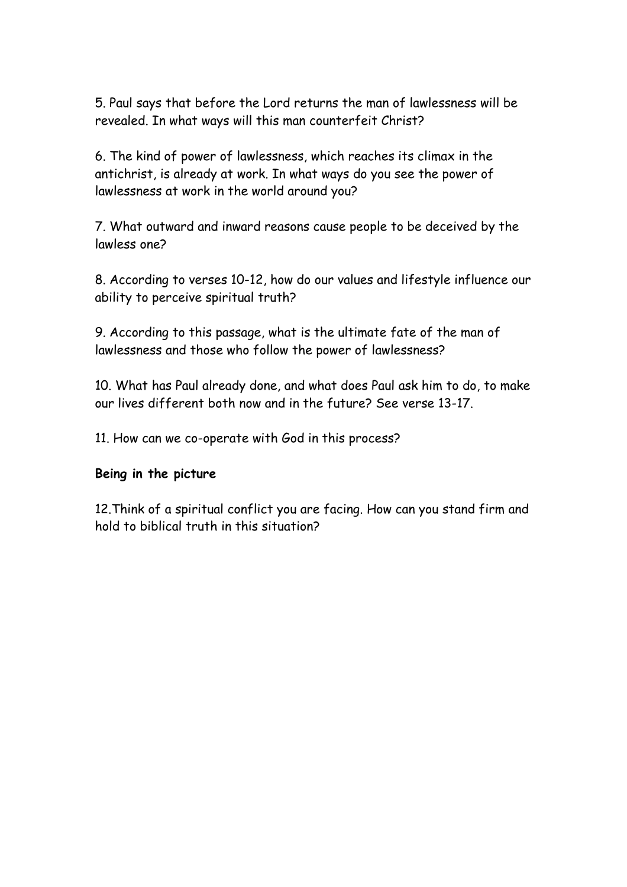5. Paul says that before the Lord returns the man of lawlessness will be revealed. In what ways will this man counterfeit Christ?

6. The kind of power of lawlessness, which reaches its climax in the antichrist, is already at work. In what ways do you see the power of lawlessness at work in the world around you?

7. What outward and inward reasons cause people to be deceived by the lawless one?

8. According to verses 10-12, how do our values and lifestyle influence our ability to perceive spiritual truth?

9. According to this passage, what is the ultimate fate of the man of lawlessness and those who follow the power of lawlessness?

10. What has Paul already done, and what does Paul ask him to do, to make our lives different both now and in the future? See verse 13-17.

11. How can we co-operate with God in this process?

#### **Being in the picture**

12.Think of a spiritual conflict you are facing. How can you stand firm and hold to biblical truth in this situation?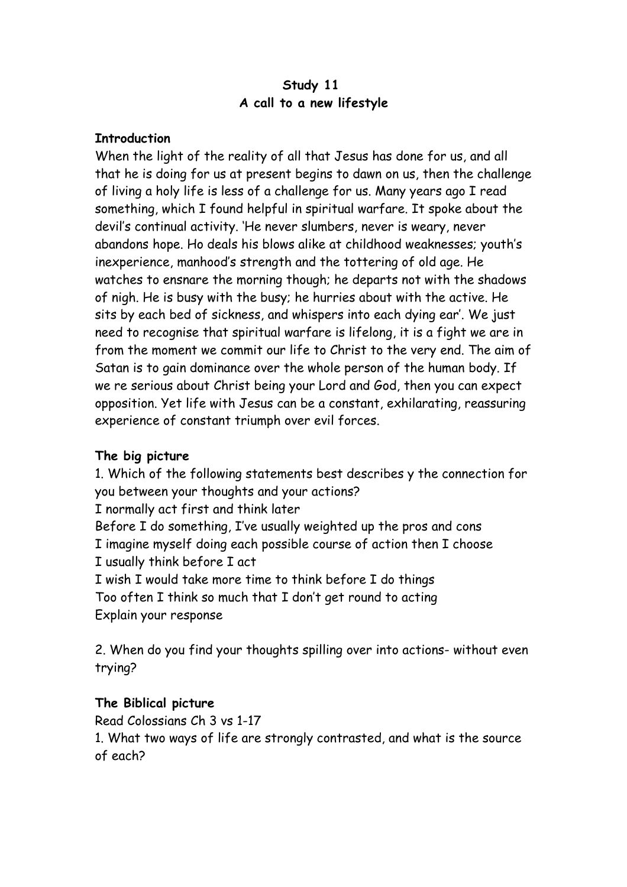### **Study 11 A call to a new lifestyle**

#### **Introduction**

When the light of the reality of all that Jesus has done for us, and all that he is doing for us at present begins to dawn on us, then the challenge of living a holy life is less of a challenge for us. Many years ago I read something, which I found helpful in spiritual warfare. It spoke about the devil's continual activity. 'He never slumbers, never is weary, never abandons hope. Ho deals his blows alike at childhood weaknesses; youth's inexperience, manhood's strength and the tottering of old age. He watches to ensnare the morning though; he departs not with the shadows of nigh. He is busy with the busy; he hurries about with the active. He sits by each bed of sickness, and whispers into each dying ear'. We just need to recognise that spiritual warfare is lifelong, it is a fight we are in from the moment we commit our life to Christ to the very end. The aim of Satan is to gain dominance over the whole person of the human body. If we re serious about Christ being your Lord and God, then you can expect opposition. Yet life with Jesus can be a constant, exhilarating, reassuring experience of constant triumph over evil forces.

# **The big picture**

1. Which of the following statements best describes y the connection for you between your thoughts and your actions? I normally act first and think later Before I do something, I've usually weighted up the pros and cons I imagine myself doing each possible course of action then I choose I usually think before I act I wish I would take more time to think before I do things Too often I think so much that I don't get round to acting Explain your response

2. When do you find your thoughts spilling over into actions- without even trying?

# **The Biblical picture**

Read Colossians Ch 3 vs 1-17 1. What two ways of life are strongly contrasted, and what is the source of each?